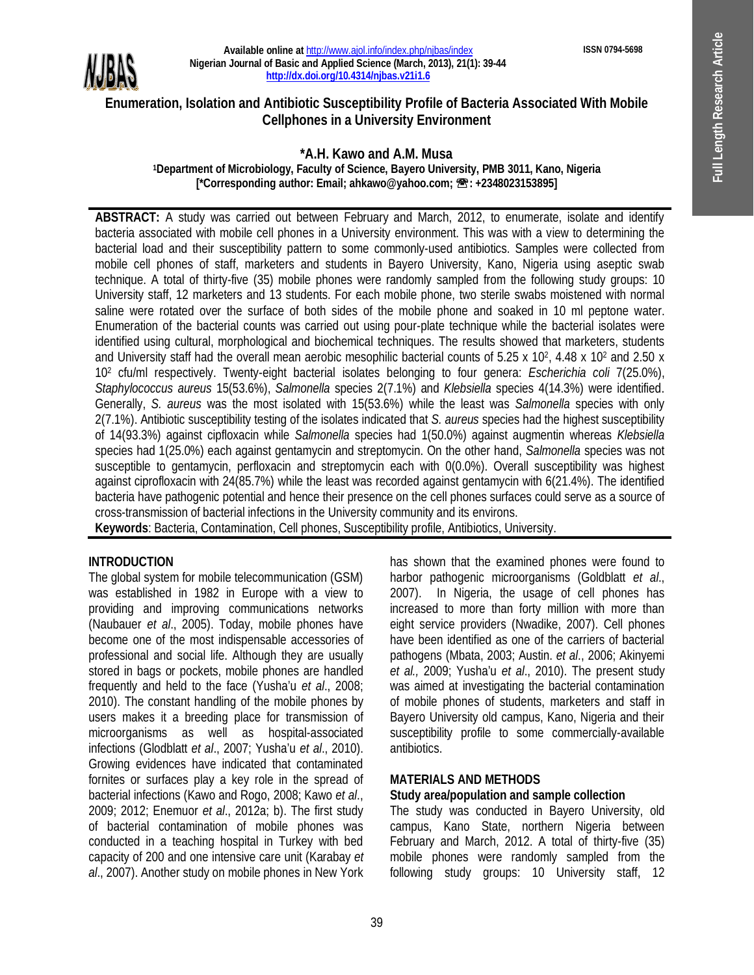**ISSN 0794-5698**



**Available online at** http://www.ajol.info/index.php/njbas/index **Nigerian Journal of Basic and Applied Science (March, 2013), 21(1): 39-44 http://dx.doi.org/10.4314/njbas.v21i1.6**

## **Enumeration, Isolation and Antibiotic Susceptibility Profile of Bacteria Associated With Mobile Cellphones in a University Environment**

#### **\*A.H. Kawo and A.M. Musa <sup>1</sup>Department of Microbiology, Faculty of Science, Bayero University, PMB 3011, Kano, Nigeria [\*Corresponding author: Email; ahkawo@yahoo.com; : +2348023153895]**

**ABSTRACT:** A study was carried out between February and March, 2012, to enumerate, isolate and identify bacteria associated with mobile cell phones in a University environment. This was with a view to determining the bacterial load and their susceptibility pattern to some commonly-used antibiotics. Samples were collected from mobile cell phones of staff, marketers and students in Bayero University, Kano, Nigeria using aseptic swab technique. A total of thirty-five (35) mobile phones were randomly sampled from the following study groups: 10 University staff, 12 marketers and 13 students. For each mobile phone, two sterile swabs moistened with normal saline were rotated over the surface of both sides of the mobile phone and soaked in 10 ml peptone water. Enumeration of the bacterial counts was carried out using pour-plate technique while the bacterial isolates were identified using cultural, morphological and biochemical techniques. The results showed that marketers, students and University staff had the overall mean aerobic mesophilic bacterial counts of 5.25 x 10<sup>2</sup>, 4.48 x 10<sup>2</sup> and 2.50 x 10<sup>2</sup> cfu/ml respectively. Twenty-eight bacterial isolates belonging to four genera: *Escherichia coli* 7(25.0%), *Staphylococcus aureus* 15(53.6%), *Salmonella* species 2(7.1%) and *Klebsiella* species 4(14.3%) were identified. Generally, *S. aureus* was the most isolated with 15(53.6%) while the least was *Salmonella* species with only 2(7.1%). Antibiotic susceptibility testing of the isolates indicated that *S. aureus* species had the highest susceptibility of 14(93.3%) against cipfloxacin while *Salmonella* species had 1(50.0%) against augmentin whereas *Klebsiella* species had 1(25.0%) each against gentamycin and streptomycin. On the other hand, *Salmonella* species was not susceptible to gentamycin, perfloxacin and streptomycin each with 0(0.0%). Overall susceptibility was highest against ciprofloxacin with 24(85.7%) while the least was recorded against gentamycin with 6(21.4%). The identified bacteria have pathogenic potential and hence their presence on the cell phones surfaces could serve as a source of cross-transmission of bacterial infections in the University community and its environs.

**Keywords**: Bacteria, Contamination, Cell phones, Susceptibility profile, Antibiotics, University.

#### **INTRODUCTION**

The global system for mobile telecommunication (GSM) was established in 1982 in Europe with a view to providing and improving communications networks (Naubauer *et al*., 2005). Today, mobile phones have become one of the most indispensable accessories of professional and social life. Although they are usually stored in bags or pockets, mobile phones are handled frequently and held to the face (Yusha'u *et al*., 2008; 2010). The constant handling of the mobile phones by users makes it a breeding place for transmission of microorganisms as well as hospital-associated infections (Glodblatt *et al*., 2007; Yusha'u *et al*., 2010). Growing evidences have indicated that contaminated fornites or surfaces play a key role in the spread of bacterial infections (Kawo and Rogo, 2008; Kawo *et al*., 2009; 2012; Enemuor *et al*., 2012a; b). The first study of bacterial contamination of mobile phones was conducted in a teaching hospital in Turkey with bed capacity of 200 and one intensive care unit (Karabay *et al*., 2007). Another study on mobile phones in New York has shown that the examined phones were found to harbor pathogenic microorganisms (Goldblatt *et al*., 2007). In Nigeria, the usage of cell phones has increased to more than forty million with more than eight service providers (Nwadike, 2007). Cell phones have been identified as one of the carriers of bacterial pathogens (Mbata, 2003; Austin. *et al*., 2006; Akinyemi *et al.,* 2009; Yusha'u *et al*., 2010). The present study was aimed at investigating the bacterial contamination of mobile phones of students, marketers and staff in Bayero University old campus, Kano, Nigeria and their susceptibility profile to some commercially-available antibiotics.

## **MATERIALS AND METHODS**

#### **Study area/population and sample collection**

The study was conducted in Bayero University, old campus, Kano State, northern Nigeria between February and March, 2012. A total of thirty-five (35) mobile phones were randomly sampled from the following study groups: 10 University staff, 12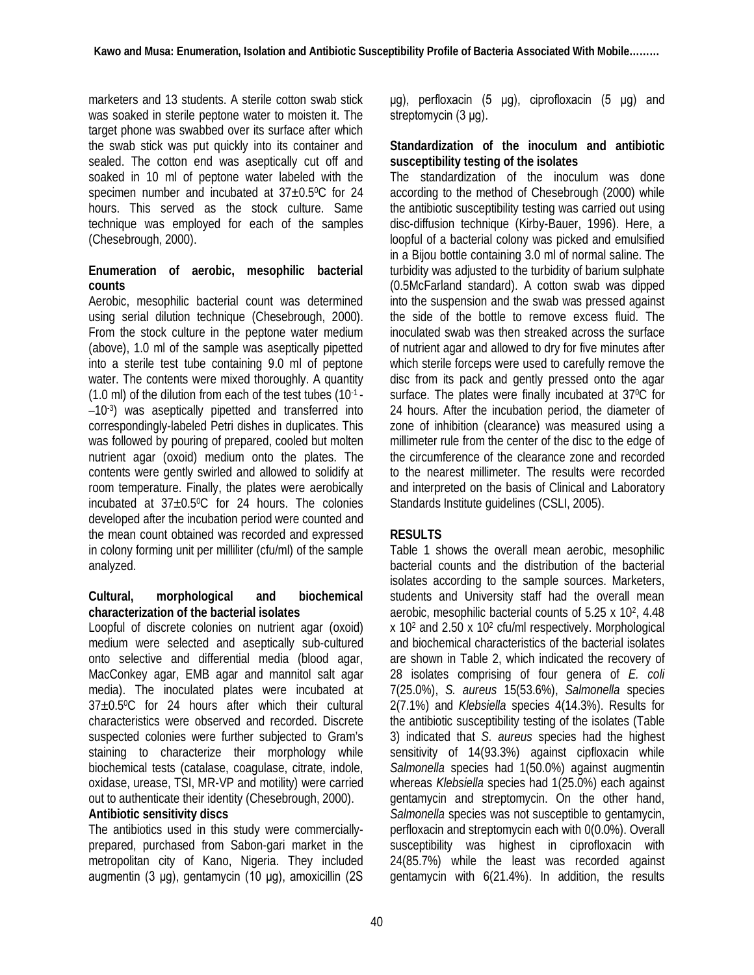marketers and 13 students. A sterile cotton swab stick was soaked in sterile peptone water to moisten it. The target phone was swabbed over its surface after which the swab stick was put quickly into its container and sealed. The cotton end was aseptically cut off and soaked in 10 ml of peptone water labeled with the specimen number and incubated at  $37\pm0.5^{\circ}$ C for 24 hours. This served as the stock culture. Same technique was employed for each of the samples (Chesebrough, 2000).

### **Enumeration of aerobic, mesophilic bacterial counts**

Aerobic, mesophilic bacterial count was determined using serial dilution technique (Chesebrough, 2000). From the stock culture in the peptone water medium (above), 1.0 ml of the sample was aseptically pipetted into a sterile test tube containing 9.0 ml of peptone water. The contents were mixed thoroughly. A quantity  $(1.0 \text{ ml})$  of the dilution from each of the test tubes  $(10^{-1} -$ –10-3 ) was aseptically pipetted and transferred into correspondingly-labeled Petri dishes in duplicates. This was followed by pouring of prepared, cooled but molten nutrient agar (oxoid) medium onto the plates. The contents were gently swirled and allowed to solidify at room temperature. Finally, the plates were aerobically incubated at  $37\pm0.5^{\circ}$ C for 24 hours. The colonies developed after the incubation period were counted and the mean count obtained was recorded and expressed in colony forming unit per milliliter (cfu/ml) of the sample analyzed.

#### **Cultural, morphological and biochemical characterization of the bacterial isolates**

Loopful of discrete colonies on nutrient agar (oxoid) medium were selected and aseptically sub-cultured onto selective and differential media (blood agar, MacConkey agar, EMB agar and mannitol salt agar media). The inoculated plates were incubated at 37±0.50C for 24 hours after which their cultural characteristics were observed and recorded. Discrete suspected colonies were further subjected to Gram's staining to characterize their morphology while biochemical tests (catalase, coagulase, citrate, indole, oxidase, urease, TSI, MR-VP and motility) were carried out to authenticate their identity (Chesebrough, 2000).

## **Antibiotic sensitivity discs**

The antibiotics used in this study were commerciallyprepared, purchased from Sabon-gari market in the metropolitan city of Kano, Nigeria. They included augmentin (3 μg), gentamycin (10 μg), amoxicillin (2S μg), perfloxacin (5 μg), ciprofloxacin (5 μg) and streptomycin (3 μg).

#### **Standardization of the inoculum and antibiotic susceptibility testing of the isolates**

The standardization of the inoculum was done according to the method of Chesebrough (2000) while the antibiotic susceptibility testing was carried out using disc-diffusion technique (Kirby-Bauer, 1996). Here, a loopful of a bacterial colony was picked and emulsified in a Bijou bottle containing 3.0 ml of normal saline. The turbidity was adjusted to the turbidity of barium sulphate (0.5McFarland standard). A cotton swab was dipped into the suspension and the swab was pressed against the side of the bottle to remove excess fluid. The inoculated swab was then streaked across the surface of nutrient agar and allowed to dry for five minutes after which sterile forceps were used to carefully remove the disc from its pack and gently pressed onto the agar surface. The plates were finally incubated at 37°C for 24 hours. After the incubation period, the diameter of zone of inhibition (clearance) was measured using a millimeter rule from the center of the disc to the edge of the circumference of the clearance zone and recorded to the nearest millimeter. The results were recorded and interpreted on the basis of Clinical and Laboratory Standards Institute guidelines (CSLI, 2005).

## **RESULTS**

Table 1 shows the overall mean aerobic, mesophilic bacterial counts and the distribution of the bacterial isolates according to the sample sources. Marketers, students and University staff had the overall mean aerobic, mesophilic bacterial counts of 5.25 x 10<sup>2</sup>, 4.48 x 10<sup>2</sup> and 2.50 x 10<sup>2</sup> cfu/ml respectively. Morphological and biochemical characteristics of the bacterial isolates are shown in Table 2, which indicated the recovery of 28 isolates comprising of four genera of *E. coli* 7(25.0%), *S. aureus* 15(53.6%), *Salmonella* species 2(7.1%) and *Klebsiella* species 4(14.3%). Results for the antibiotic susceptibility testing of the isolates (Table 3) indicated that *S. aureus* species had the highest sensitivity of 14(93.3%) against cipfloxacin while *Salmonella* species had 1(50.0%) against augmentin whereas *Klebsiella* species had 1(25.0%) each against gentamycin and streptomycin. On the other hand, *Salmonella* species was not susceptible to gentamycin, perfloxacin and streptomycin each with 0(0.0%). Overall susceptibility was highest in ciprofloxacin with 24(85.7%) while the least was recorded against gentamycin with 6(21.4%). In addition, the results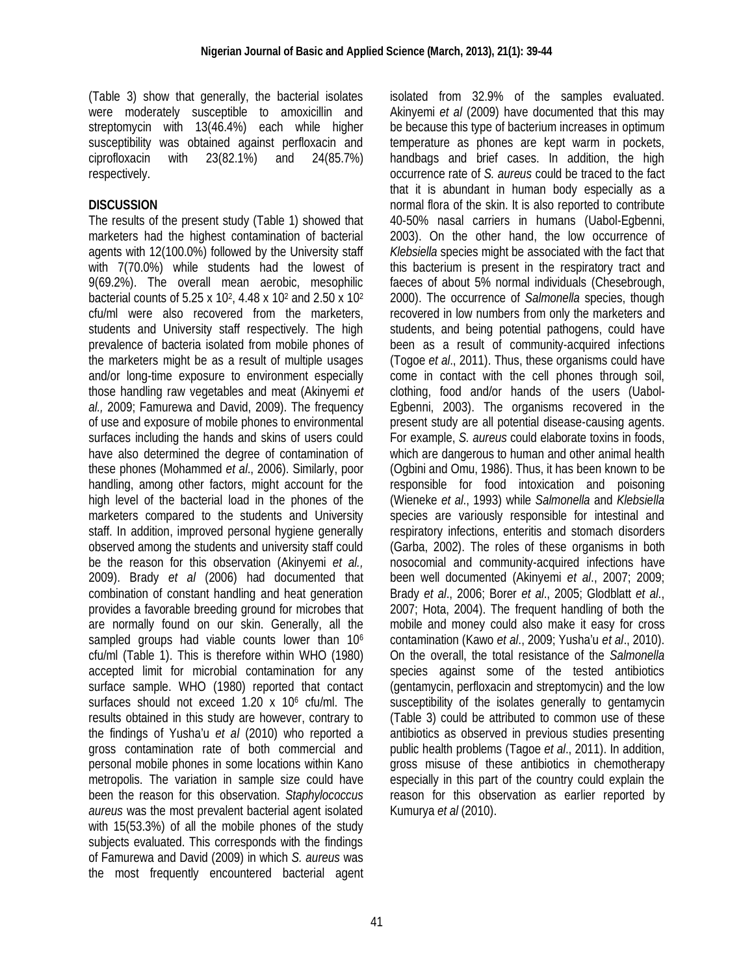(Table 3) show that generally, the bacterial isolates were moderately susceptible to amoxicillin and streptomycin with 13(46.4%) each while higher susceptibility was obtained against perfloxacin and ciprofloxacin with 23(82.1%) and 24(85.7%) respectively.

# **DISCUSSION**

The results of the present study (Table 1) showed that marketers had the highest contamination of bacterial agents with 12(100.0%) followed by the University staff with 7(70.0%) while students had the lowest of 9(69.2%). The overall mean aerobic, mesophilic bacterial counts of 5.25 x 10<sup>2</sup>, 4.48 x 10<sup>2</sup> and 2.50 x 10<sup>2</sup> cfu/ml were also recovered from the marketers, students and University staff respectively. The high prevalence of bacteria isolated from mobile phones of the marketers might be as a result of multiple usages and/or long-time exposure to environment especially those handling raw vegetables and meat (Akinyemi *et al.,* 2009; Famurewa and David, 2009). The frequency of use and exposure of mobile phones to environmental surfaces including the hands and skins of users could have also determined the degree of contamination of these phones (Mohammed *et al*., 2006). Similarly, poor handling, among other factors, might account for the high level of the bacterial load in the phones of the marketers compared to the students and University staff. In addition, improved personal hygiene generally observed among the students and university staff could be the reason for this observation (Akinyemi *et al.,* 2009). Brady *et al* (2006) had documented that combination of constant handling and heat generation provides a favorable breeding ground for microbes that are normally found on our skin. Generally, all the sampled groups had viable counts lower than 10<sup>6</sup> cfu/ml (Table 1). This is therefore within WHO (1980) accepted limit for microbial contamination for any surface sample. WHO (1980) reported that contact surfaces should not exceed 1.20 x 10<sup>6</sup> cfu/ml. The results obtained in this study are however, contrary to the findings of Yusha'u *et al* (2010) who reported a gross contamination rate of both commercial and personal mobile phones in some locations within Kano metropolis. The variation in sample size could have been the reason for this observation. *Staphylococcus aureus* was the most prevalent bacterial agent isolated with 15(53.3%) of all the mobile phones of the study subjects evaluated. This corresponds with the findings of Famurewa and David (2009) in which *S. aureus* was the most frequently encountered bacterial agent

isolated from 32.9% of the samples evaluated. Akinyemi *et al* (2009) have documented that this may be because this type of bacterium increases in optimum temperature as phones are kept warm in pockets, handbags and brief cases. In addition, the high occurrence rate of *S. aureus* could be traced to the fact that it is abundant in human body especially as a normal flora of the skin. It is also reported to contribute 40-50% nasal carriers in humans (Uabol-Egbenni, 2003). On the other hand, the low occurrence of *Klebsiella* species might be associated with the fact that this bacterium is present in the respiratory tract and faeces of about 5% normal individuals (Chesebrough, 2000). The occurrence of *Salmonella* species, though recovered in low numbers from only the marketers and students, and being potential pathogens, could have been as a result of community-acquired infections (Togoe *et al*., 2011). Thus, these organisms could have come in contact with the cell phones through soil, clothing, food and/or hands of the users (Uabol-Egbenni, 2003). The organisms recovered in the present study are all potential disease-causing agents. For example, *S. aureus* could elaborate toxins in foods, which are dangerous to human and other animal health (Ogbini and Omu, 1986). Thus, it has been known to be responsible for food intoxication and poisoning (Wieneke *et al*., 1993) while *Salmonella* and *Klebsiella* species are variously responsible for intestinal and respiratory infections, enteritis and stomach disorders (Garba, 2002). The roles of these organisms in both nosocomial and community-acquired infections have been well documented (Akinyemi *et al*., 2007; 2009; Brady *et al*., 2006; Borer *et al*., 2005; Glodblatt *et al*., 2007; Hota, 2004). The frequent handling of both the mobile and money could also make it easy for cross contamination (Kawo *et al*., 2009; Yusha'u *et al*., 2010). On the overall, the total resistance of the *Salmonella* species against some of the tested antibiotics (gentamycin, perfloxacin and streptomycin) and the low susceptibility of the isolates generally to gentamycin (Table 3) could be attributed to common use of these antibiotics as observed in previous studies presenting public health problems (Tagoe *et al*., 2011). In addition, gross misuse of these antibiotics in chemotherapy especially in this part of the country could explain the reason for this observation as earlier reported by Kumurya *et al* (2010).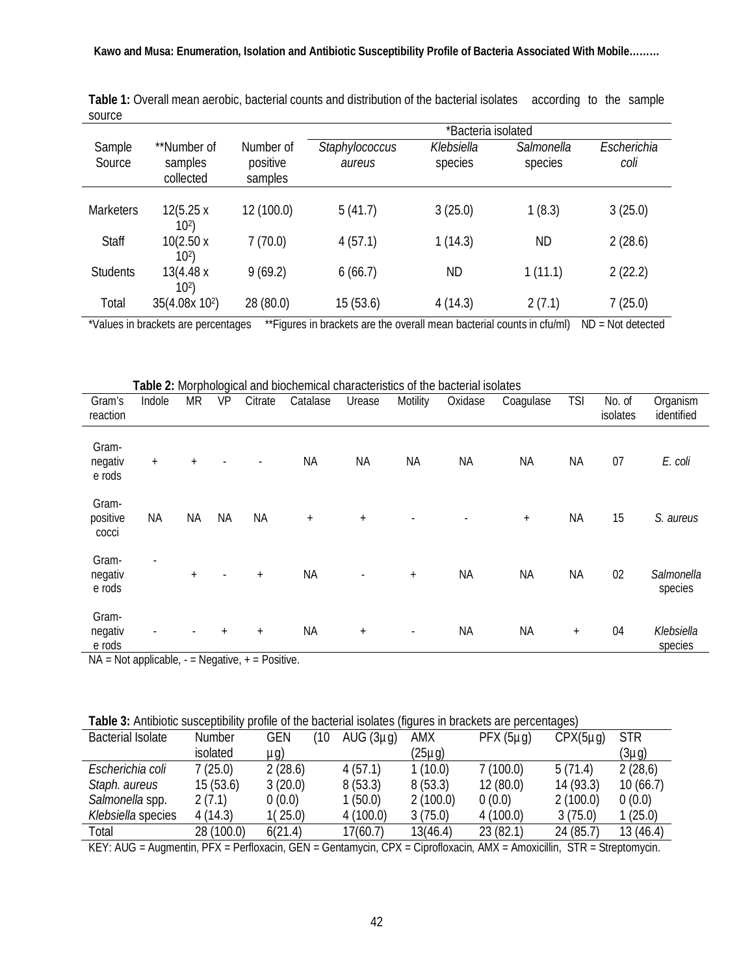|                  |                                     |                                  | *Bacteria isolated       |                       |                       |                     |  |  |  |
|------------------|-------------------------------------|----------------------------------|--------------------------|-----------------------|-----------------------|---------------------|--|--|--|
| Sample<br>Source | **Number of<br>samples<br>collected | Number of<br>positive<br>samples | Staphylococcus<br>aureus | Klebsiella<br>species | Salmonella<br>species | Escherichia<br>coli |  |  |  |
|                  |                                     |                                  |                          |                       |                       |                     |  |  |  |
| <b>Marketers</b> | 12(5.25 x<br>10 <sup>2</sup>        | 12 (100.0)                       | 5(41.7)                  | 3(25.0)               | 1(8.3)                | 3(25.0)             |  |  |  |
| <b>Staff</b>     | 10(2.50x<br>10 <sup>2</sup>         | 7(70.0)                          | 4(57.1)                  | 1(14.3)               | <b>ND</b>             | 2(28.6)             |  |  |  |
| <b>Students</b>  | 13(4.48 x<br>10 <sup>2</sup>        | 9(69.2)                          | 6(66.7)                  | <b>ND</b>             | 1(11.1)               | 2(22.2)             |  |  |  |
| Total            | 35(4.08x 10 <sup>2</sup> )          | 28 (80.0)                        | 15 (53.6)                | 4(14.3)               | 2(7.1)                | 7(25.0)             |  |  |  |

**Table 1:** Overall mean aerobic, bacterial counts and distribution of the bacterial isolates according to the sample source

\*Values in brackets are percentages \*\*Figures in brackets are the overall mean bacterial counts in cfu/ml) ND = Not detected

**Table 2:** Morphological and biochemical characteristics of the bacterial isolates Gram's reaction Indole MR VP Citrate Catalase Urease Motility Oxidase Coagulase TSI No. of isolates **Organism** identified Gramnegativ e rods + + - - NA NA NA NA NA NA 07 *E. coli* Grampositive cocci NA NA NA NA + + - - + NA 15 *S. aureus* Gramnegativ e rods - + - + NA - + NA NA NA 02 *Salmonella* species Gramnegativ e rods - - + + NA + - NA NA + 04 *Klebsiella* species

 $NA = Not applicable$ , - = Negative, + = Positive.

**Table 3:** Antibiotic susceptibility profile of the bacterial isolates (figures in brackets are percentages)

| <b>Bacterial Isolate</b> | <b>Number</b>                  | <b>GEN</b><br>Ί0      | AUG $(3\mu q)$ | <b>AMX</b>       | $PFX(5\mu q)$ | $CPX(5\mu q)$             | <b>STR</b> |
|--------------------------|--------------------------------|-----------------------|----------------|------------------|---------------|---------------------------|------------|
|                          | isolated                       | µg)                   |                | (25µg)           |               |                           | (3µg)      |
| Escherichia coli         | 7(25.0)                        | 2(28.6)               | 4(57.1)        | 1(10.0)          | 7(100.0)      | 5(71.4)                   | 2(28,6)    |
| Staph. aureus            | 15(53.6)                       | 3(20.0)               | 8(53.3)        | 8(53.3)          | 12(80.0)      | 14 (93.3)                 | 10(66.7)   |
| Salmonella spp.          | 2(7.1)                         | 0(0.0)                | 1(50.0)        | 2(100.0)         | 0(0.0)        | 2(100.0)                  | 0(0.0)     |
| Klebsiella species       | 4(14.3)                        | 1(25.0)               | 4(100.0)       | 3(75.0)          | 4(100.0)      | 3(75.0)                   | 1(25.0)    |
| Total                    | 28 (100.0)                     | 6(21.4)               | 17(60.7)       | 13(46.4)         | 23(82.1)      | 24(85.7)                  | 13 (46.4)  |
| $\cdots$                 | $\sim$ $\sim$ $\sim$<br>$\sim$ | $\sim$ $ \sim$ $\sim$ | $\sim$         | $\sim$<br>$\sim$ | .             | .<br>$\sim$ $\sim$ $\sim$ |            |

KEY: AUG = Augmentin, PFX = Perfloxacin, GEN = Gentamycin, CPX = Ciprofloxacin, AMX = Amoxicillin, STR = Streptomycin.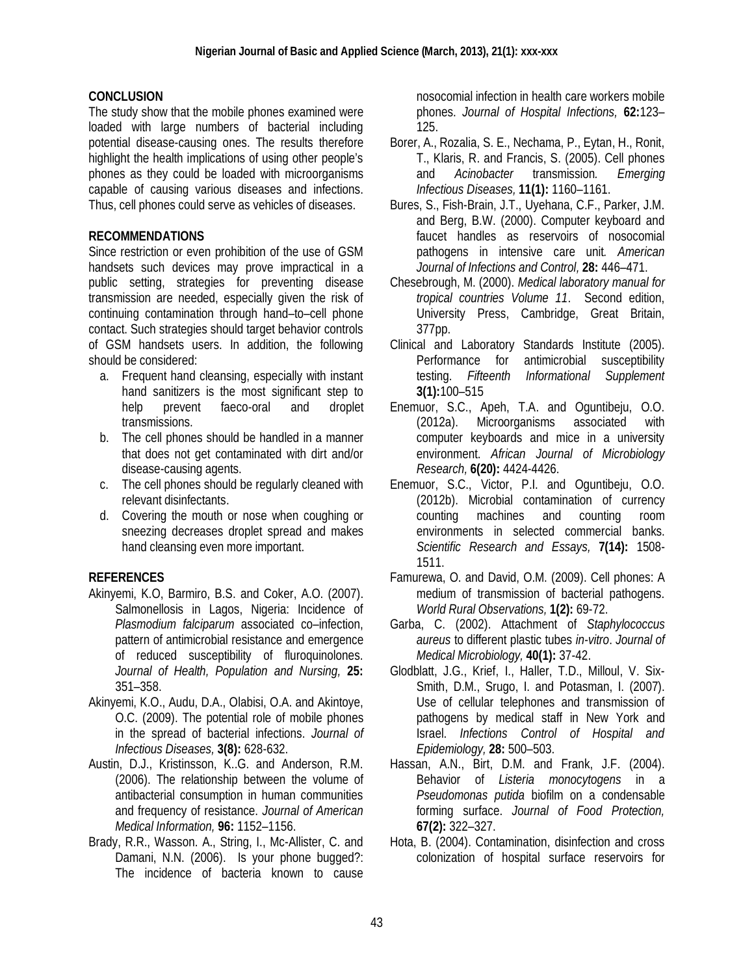### **CONCLUSION**

The study show that the mobile phones examined were loaded with large numbers of bacterial including potential disease-causing ones. The results therefore highlight the health implications of using other people's phones as they could be loaded with microorganisms capable of causing various diseases and infections. Thus, cell phones could serve as vehicles of diseases.

### **RECOMMENDATIONS**

Since restriction or even prohibition of the use of GSM handsets such devices may prove impractical in a public setting, strategies for preventing disease transmission are needed, especially given the risk of continuing contamination through hand–to–cell phone contact. Such strategies should target behavior controls of GSM handsets users. In addition, the following should be considered:

- a. Frequent hand cleansing, especially with instant hand sanitizers is the most significant step to help prevent faeco-oral and droplet transmissions.
- b. The cell phones should be handled in a manner that does not get contaminated with dirt and/or disease-causing agents.
- c. The cell phones should be regularly cleaned with relevant disinfectants.
- d. Covering the mouth or nose when coughing or sneezing decreases droplet spread and makes hand cleansing even more important.

## **REFERENCES**

- Akinyemi, K.O, Barmiro, B.S. and Coker, A.O. (2007). Salmonellosis in Lagos, Nigeria: Incidence of *Plasmodium falciparum* associated co–infection, pattern of antimicrobial resistance and emergence of reduced susceptibility of fluroquinolones. *Journal of Health, Population and Nursing,* **25:** 351–358.
- Akinyemi, K.O., Audu, D.A., Olabisi, O.A. and Akintoye, O.C. (2009). The potential role of mobile phones in the spread of bacterial infections. *Journal of Infectious Diseases,* **3(8):** 628-632.
- Austin, D.J., Kristinsson, K..G. and Anderson, R.M. (2006). The relationship between the volume of antibacterial consumption in human communities and frequency of resistance. *Journal of American Medical Information,* **96:** 1152–1156.
- Brady, R.R., Wasson. A., String, I., Mc-Allister, C. and Damani, N.N. (2006). Is your phone bugged?: The incidence of bacteria known to cause

nosocomial infection in health care workers mobile phones. *Journal of Hospital Infections,* **62:**123– 125.

- Borer, A., Rozalia, S. E., Nechama, P., Eytan, H., Ronit, T., Klaris, R. and Francis, S. (2005). Cell phones and *Acinobacter* transmission*. Emerging Infectious Diseases,* **11(1):** 1160–1161.
- Bures, S., Fish-Brain, J.T., Uyehana, C.F., Parker, J.M. and Berg, B.W. (2000). Computer keyboard and faucet handles as reservoirs of nosocomial pathogens in intensive care unit*. American Journal of Infections and Control,* **28:** 446–471.
- Chesebrough, M. (2000). *Medical laboratory manual for tropical countries Volume 11*. Second edition, University Press, Cambridge, Great Britain, 377pp.
- Clinical and Laboratory Standards Institute (2005). Performance for antimicrobial susceptibility testing. *Fifteenth Informational Supplement*  **3(1):**100–515
- Enemuor, S.C., Apeh, T.A. and Oguntibeju, O.O. (2012a). Microorganisms associated with computer keyboards and mice in a university environment. *African Journal of Microbiology Research,* **6(20):** 4424-4426.
- Enemuor, S.C., Victor, P.I. and Oguntibeju, O.O. (2012b). Microbial contamination of currency counting machines and counting room environments in selected commercial banks. *Scientific Research and Essays,* **7(14):** 1508- 1511.
- Famurewa, O. and David, O.M. (2009). Cell phones: A medium of transmission of bacterial pathogens. *World Rural Observations,* **1(2):** 69-72.
- Garba, C. (2002). Attachment of *Staphylococcus aureus* to different plastic tubes *in-vitro*. *Journal of Medical Microbiology,* **40(1):** 37-42.
- Glodblatt, J.G., Krief, I., Haller, T.D., Milloul, V. Six-Smith, D.M., Srugo, I. and Potasman, I. (2007). Use of cellular telephones and transmission of pathogens by medical staff in New York and Israel. *Infections Control of Hospital and Epidemiology,* **28:** 500–503.
- Hassan, A.N., Birt, D.M. and Frank, J.F. (2004). Behavior of *Listeria monocytogens* in a *Pseudomonas putida* biofilm on a condensable forming surface. *Journal of Food Protection,* **67(2):** 322–327.
- Hota, B. (2004). Contamination, disinfection and cross colonization of hospital surface reservoirs for